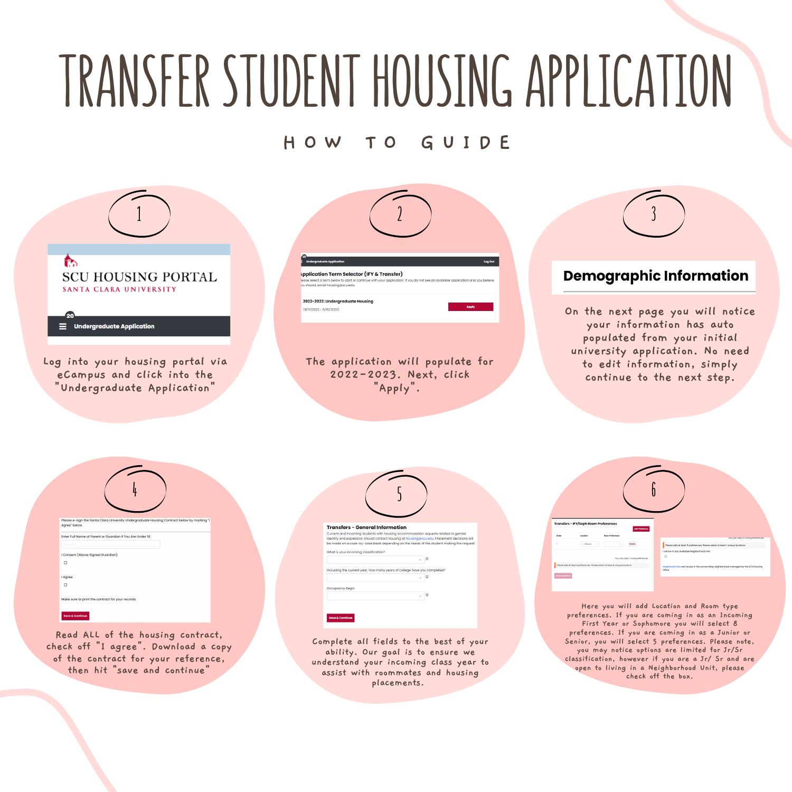# **TRANSFER STUDENT HOUSINGAPPLICATION**

### **H O W T O G U I D E**

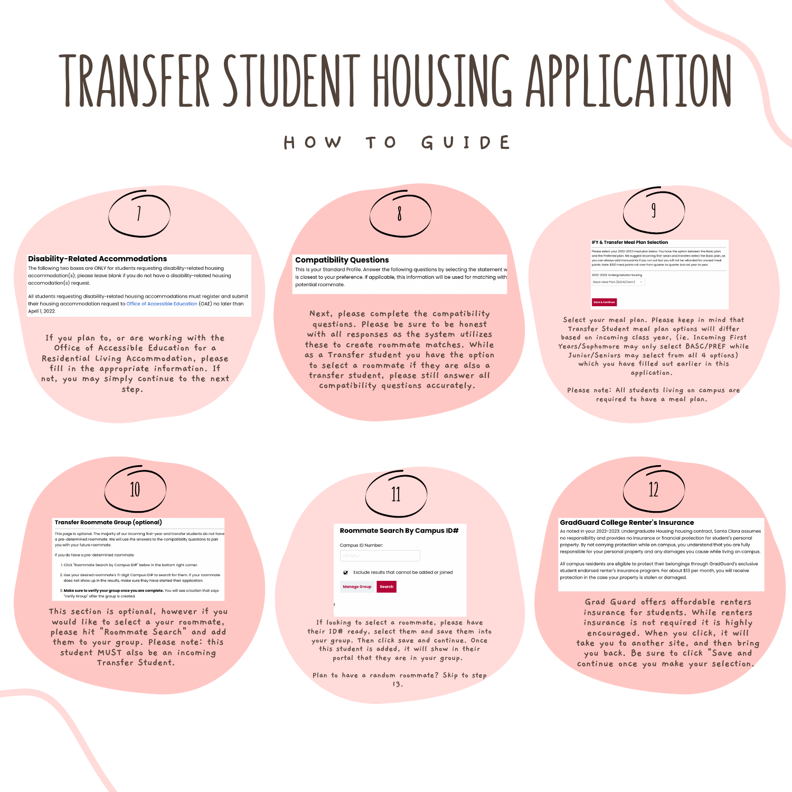## **TRANSFER STUDENT HOUSINGAPPLICATION**

### **H O W T O G U I D E**



#### **Disability-Related Accommodations**

The following two boxes are ONLY for students requesting disability-related housing accommodation(s); please leave blank if you do not have a disability-related housing accomodation(s) request.

All students requesting disability-related housing accommodations must register and submit their housing accommodation request to Office of Accessible Education (OAE) no later than April 1 2022

**If you plan to, or are working with the Office of Accessible Education for a Residential Living Accommodation, please fill in the appropriate information. If not, you may simply continue to the next step.**



#### **Compatibility Questions**

This is your Standard Profile. Answer the following questions by selecting the statement w is closest to your preference. If applicable, this information will be used for matching with potential roommate

**Next, please complete the compatibility questions. Please be sure to be honest with all responses as the system utilizes these to create roommate matches. While as a Transfer student you have the option to select a roommate if they are also a transfer student, please still answer all compatibility questions accurately.**

### **9 IFV & Transfer Meal Pl** uur 2022–2023 meal plan below. You have the option between th<br>ed plan. We suggest incoming first-years and transfers select th<br>i add more points if you run out but you will not be refunded for<br>10 meal points roll over from -<br>2023: Undergraduate Housing Basic Meal Plan (\$2042/term)

**Select your meal plan. Please keep in mind that Transfer Student meal plan options will differ based on incoming class year, (ie. Incoming First Years/Sophomore may only select BASC/PREF while Junior/Seniors may select from all 4 options) which you have filled out earlier in this application.**

**Please note: All students living on campus are required to have a meal plan.**



2. Use your desired roommate's 11-digit Campus ID# to search for them. If your roo t show up in the results, make sure they have started their application

3. Make sure to verify your group once you are complete. You will see a button that says<br>"Verify Group" after the group is created.

**This section is optional, however if you would like to select a your roommate, please hit "Roommate Search" and add them to your group. Please note: this student MUST also be an incoming Transfer Student.**

| <b>Roommate Search By Campus ID#</b>                |
|-----------------------------------------------------|
| Campus ID Number:                                   |
| <empty></empty>                                     |
| Exclude results that cannot be added or joined<br>ञ |
| <b>Search</b><br><b>Manage Group</b>                |
| R                                                   |

**If looking to select a roommate, please have their ID# ready, select them and save them into your group. Then click save and continue. Once this student is added, it will show in their portal that they are in your group.**

**Plan to have a random roommate? Skip to step 13.**



#### **GradGuard College Renter's Insurance**

As noted in your 2022-2023: Undergraduate Housing housing contract, Santa Clara assumes no responsibility and provides no insurance or financial protection for student's personal property. By not carrying protection while on campus, you understand that you are fully responsible for your personal property and any damages you cause while living on campus

All campus residents are eligible to protect their belongings through GradGuard's exclusive student endorsed renter's insurance program. For about \$13 per month, you will receive protection in the case your property is stolen or damaged.

**Grad Guard offers affordable renters insurance for students. While renters insurance is not required it is highly encouraged. When you click, it will take you to another site, and then bring you back. Be sure to click "Save and continue once you make your selection.**